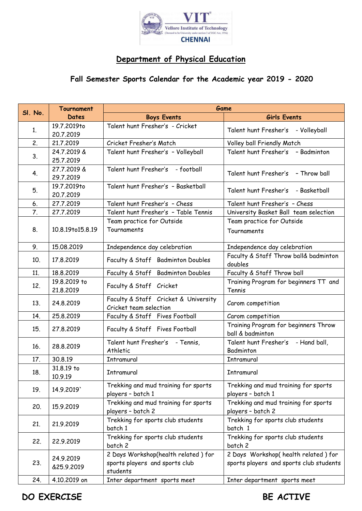

## **Department of Physical Education**

## **Fall Semester Sports Calendar for the Academic year 2019 - 2020**

|         | <b>Tournament</b>         | Game                                                           |                                                 |
|---------|---------------------------|----------------------------------------------------------------|-------------------------------------------------|
| SI. No. | <b>Dates</b>              | <b>Boys Events</b>                                             | Girls Events                                    |
| 1.      | 19.7.2019to               | Talent hunt Fresher's - Cricket                                | Talent hunt Fresher's - Volleyball              |
|         | 20.7.2019                 |                                                                |                                                 |
| 2.      | 21.7.2019                 | Cricket Fresher's Match                                        | Volley ball Friendly Match                      |
| 3.      | 24.7.2019 &               | Talent hunt Fresher's - Volleyball                             | Talent hunt Fresher's - Badminton               |
|         | 25.7.2019                 |                                                                |                                                 |
| 4.      | 27.7.2019 &               | Talent hunt Fresher's<br>- football                            | Talent hunt Fresher's - Throw ball              |
| 5.      | 29.7.2019<br>19.7.2019to  | Talent hunt Fresher's - Basketball                             |                                                 |
|         | 20.7.2019                 |                                                                | Talent hunt Fresher's - Basketball              |
| 6.      | 27.7.2019                 | Talent hunt Fresher's - Chess                                  | Talent hunt Fresher's - Chess                   |
| 7.      | 27.7.2019                 | Talent hunt Fresher's - Table Tennis                           | University Basket Ball team selection           |
| 8.      | 10.8.19to15.8.19          | Team practice for Outside                                      | Team practice for Outside                       |
|         |                           | Tournaments                                                    | Tournaments                                     |
|         |                           |                                                                |                                                 |
| 9.      | 15.08.2019                | Independence day celebration                                   | Independence day celebration                    |
| 10.     | 17,8,2019                 | Faculty & Staff Badminton Doubles                              | Faculty & Staff Throw ball& badminton           |
|         |                           |                                                                | doubles                                         |
| 11.     | 18.8.2019                 | Faculty & Staff Badminton Doubles                              | Faculty & Staff Throw ball                      |
| 12.     | 19.8.2019 to<br>21.8.2019 | Faculty & Staff Cricket                                        | Training Program for beginners TT and<br>Tennis |
| 13.     | 24.8.2019                 | Faculty & Staff Cricket & University<br>Cricket team selection | Carom competition                               |
| 14.     | 25.8.2019                 | Faculty & Staff Fives Football                                 | Carom competition                               |
|         |                           |                                                                | Training Program for beginners Throw            |
| 15.     | 27.8.2019                 | Faculty & Staff Fives Football                                 | ball & badminton                                |
| 16.     | 28.8.2019                 | Talent hunt Fresher's - Tennis,                                | Talent hunt Fresher's - Hand ball,              |
|         |                           | Athletic                                                       | Badminton                                       |
| 17.     | 30.8.19                   | Intramural                                                     | Intramural                                      |
| 18.     | 31.8.19 to<br>10.9.19     | Intramural                                                     | Intramural                                      |
| 19.     | 14.9.2019                 | Trekking and mud training for sports                           | Trekking and mud training for sports            |
|         |                           | players - batch 1                                              | players - batch 1                               |
| 20.     | 15.9.2019                 | Trekking and mud training for sports                           | Trekking and mud training for sports            |
|         |                           | players - batch 2                                              | players - batch 2                               |
| 21.     | 21.9.2019                 | Trekking for sports club students                              | Trekking for sports club students               |
|         |                           | batch 1<br>Trekking for sports club students                   | batch 1<br>Trekking for sports club students    |
| 22.     | 22.9.2019                 | batch 2                                                        | batch 2                                         |
|         |                           | 2 Days Workshop(health related) for                            | 2 Days Workshop(health related) for             |
| 23.     | 24.9.2019                 | sports players and sports club                                 | sports players and sports club students         |
|         | &25.9.2019                | students                                                       |                                                 |
| 24.     | 4.10.2019 on              | Inter department sports meet                                   | Inter department sports meet                    |

**DO EXERCISE** BE ACTIVE